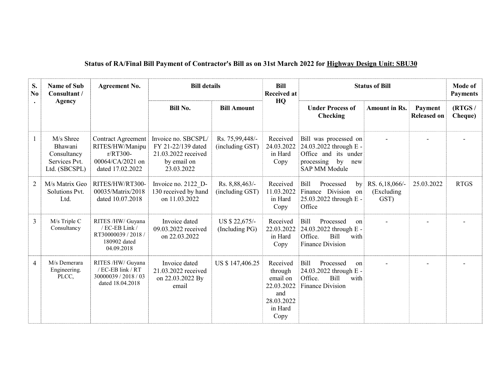| S.<br>N <sub>0</sub> | <b>Name of Sub</b><br>Consultant /                                    | <b>Agreement No.</b>                                                                      | <b>Bill details</b>                                                                           |                                    | <b>Bill</b><br><b>Received at</b>                                                     | <b>Status of Bill</b>                                                                                            |                                      |                               | <b>Mode of</b><br><b>Payments</b> |
|----------------------|-----------------------------------------------------------------------|-------------------------------------------------------------------------------------------|-----------------------------------------------------------------------------------------------|------------------------------------|---------------------------------------------------------------------------------------|------------------------------------------------------------------------------------------------------------------|--------------------------------------|-------------------------------|-----------------------------------|
|                      | <b>Agency</b>                                                         |                                                                                           | <b>Bill No.</b>                                                                               | <b>Bill Amount</b>                 | HQ                                                                                    | <b>Under Process of</b><br>Checking                                                                              | <b>Amount in Rs.</b>                 | Payment<br><b>Released on</b> | (RTGS/<br>Cheque)                 |
| 1                    | M/s Shree<br>Bhawani<br>Consultancy<br>Services Pvt.<br>Ltd. (SBCSPL) | Contract Agreement<br>RITES/HW/Manipu<br>r/RT300-<br>00064/CA/2021 on<br>dated 17.02.2022 | Invoice no. SBCSPL/<br>FY 21-22/139 dated<br>21.03.2022 received<br>by email on<br>23.03.2022 | Rs. 75,99,448/-<br>(including GST) | Received<br>24.03.2022<br>in Hard<br>Copy                                             | Bill was processed on<br>24.03.2022 through E -<br>Office and its under<br>processing by<br>new<br>SAP MM Module |                                      |                               |                                   |
| 2                    | M/s Matrix Geo<br>Solutions Pvt.<br>Ltd.                              | RITES/HW/RT300-<br>00035/Matrix/2018<br>dated 10.07.2018                                  | Invoice no. 2122 D-<br>130 received by hand<br>on 11.03.2022                                  | Rs. 8,88,463/-<br>(including GST)  | Received<br>11.03.2022<br>in Hard<br>Copy                                             | <b>Bill</b><br>Processed<br>by<br>Finance Division on<br>25.03.2022 through E -<br>Office                        | RS. 6,18,066/-<br>(Excluding<br>GST) | 25.03.2022                    | <b>RTGS</b>                       |
| $\overline{3}$       | M/s Triple C<br>Consultancy                                           | RITES /HW/ Guyana<br>/ EC-EB Link /<br>RT30000039 / 2018 /<br>180902 dated<br>04.09.2018  | Invoice dated<br>09.03.2022 received<br>on 22.03.2022                                         | US \$ 22,675/-<br>(Including PG)   | Received<br>22.03.2022<br>in Hard<br>Copy                                             | <b>Bill</b><br>Processed<br>on<br>24.03.2022 through E -<br><b>Bill</b><br>Office.<br>with<br>Finance Division   |                                      |                               |                                   |
| $\overline{4}$       | M/s Demerara<br>Engineering.<br>PLCC,                                 | RITES /HW/ Guyana<br>/ EC-EB link / RT<br>30000039 / 2018 / 03<br>dated 18.04.2018        | Invoice dated<br>21.03.2022 received<br>on 22.03.2022 By<br>email                             | US \$147,406.25                    | Received<br>through<br>email on<br>22.03.2022<br>and<br>28.03.2022<br>in Hard<br>Copy | Bill<br>Processed<br>on<br>24.03.2022 through E -<br>Office.<br><b>Bill</b><br>with<br><b>Finance Division</b>   |                                      |                               |                                   |

## Status of RA/Final Bill Payment of Contractor's Bill as on 31st March 2022 for Highway Design Unit: SBU30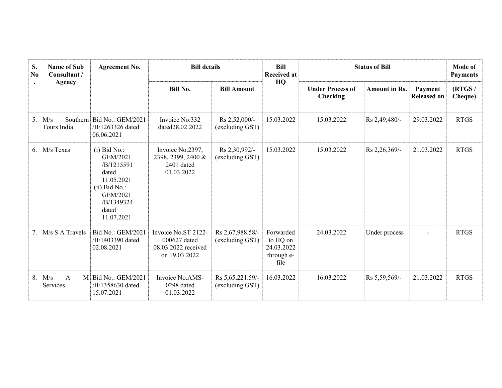| S.<br>N <sub>0</sub><br>$\bullet$ | <b>Name of Sub</b><br>Consultant /<br><b>Agency</b> | <b>Agreement No.</b>                                                                                                                | <b>Bill details</b>                                                         |                                       | <b>Bill</b><br><b>Received at</b>                         |                                     | <b>Status of Bill</b> |                               |                   |
|-----------------------------------|-----------------------------------------------------|-------------------------------------------------------------------------------------------------------------------------------------|-----------------------------------------------------------------------------|---------------------------------------|-----------------------------------------------------------|-------------------------------------|-----------------------|-------------------------------|-------------------|
|                                   |                                                     |                                                                                                                                     | <b>Bill No.</b>                                                             | <b>Bill Amount</b>                    | HQ                                                        | <b>Under Process of</b><br>Checking | <b>Amount in Rs.</b>  | Payment<br><b>Released on</b> | (RTGS/<br>Cheque) |
| 5.                                | M/s<br>Tours India                                  | Southern Bid No.: GEM/2021<br>/B/1263326 dated<br>06.06.2021                                                                        | Invoice No.332<br>dated28.02.2022                                           | Rs 2,52,000/-<br>(excluding GST)      | 15.03.2022                                                | 15.03.2022                          | Rs 2,49,480/-         | 29.03.2022                    | <b>RTGS</b>       |
| 6.                                | M/s Texas                                           | $(i)$ Bid No.:<br>GEM/2021<br>/B/1215591<br>dated<br>11.05.2021<br>$(ii)$ Bid No.:<br>GEM/2021<br>/B/1349324<br>dated<br>11.07.2021 | Invoice No.2397,<br>2398, 2399, 2400 &<br>2401 dated<br>01.03.2022          | Rs 2,30,992/-<br>(excluding GST)      | 15.03.2022                                                | 15.03.2022                          | Rs 2,26,369/-         | 21.03.2022                    | <b>RTGS</b>       |
| 7.                                | M/s S A Travels                                     | Bid No.: GEM/2021<br>/B/1403390 dated<br>02.08.2021                                                                                 | Invoice No.ST 2122-<br>000627 dated<br>08.03.2022 received<br>on 19.03.2022 | Rs 2,67,988.58/-<br>(excluding GST)   | Forwarded<br>to HQ on<br>24.03.2022<br>through e-<br>file | 24.03.2022                          | Under process         |                               | <b>RTGS</b>       |
| 8.                                | M/s<br>$\mathbf{A}$<br>Services                     | M Bid No.: GEM/2021<br>/B/1358630 dated<br>15.07.2021                                                                               | Invoice No.AMS-<br>0298 dated<br>01.03.2022                                 | Rs 5, 65, 221.59/-<br>(excluding GST) | 16.03.2022                                                | 16.03.2022                          | Rs 5,59,569/-         | 21.03.2022                    | <b>RTGS</b>       |